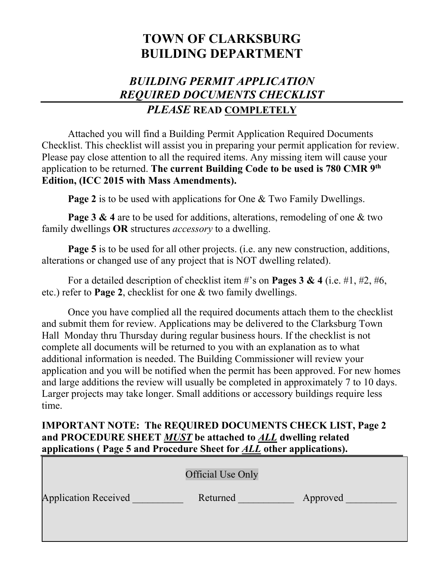# **TOWN OF CLARKSBURG BUILDING DEPARTMENT**

## *BUILDING PERMIT APPLICATION REQUIRED DOCUMENTS CHECKLIST PLEASE* **READ COMPLETELY**

Attached you will find a Building Permit Application Required Documents Checklist. This checklist will assist you in preparing your permit application for review. Please pay close attention to all the required items. Any missing item will cause your application to be returned. **The current Building Code to be used is 780 CMR 9th Edition, (ICC 2015 with Mass Amendments).**

**Page 2** is to be used with applications for One & Two Family Dwellings.

**Page 3 & 4** are to be used for additions, alterations, remodeling of one & two family dwellings **OR** structures *accessory* to a dwelling.

**Page 5** is to be used for all other projects. (i.e. any new construction, additions, alterations or changed use of any project that is NOT dwelling related).

For a detailed description of checklist item #'s on **Pages 3 & 4** (i.e. #1, #2, #6, etc.) refer to **Page 2**, checklist for one & two family dwellings.

Once you have complied all the required documents attach them to the checklist and submit them for review. Applications may be delivered to the Clarksburg Town Hall Monday thru Thursday during regular business hours. If the checklist is not complete all documents will be returned to you with an explanation as to what additional information is needed. The Building Commissioner will review your application and you will be notified when the permit has been approved. For new homes and large additions the review will usually be completed in approximately 7 to 10 days. Larger projects may take longer. Small additions or accessory buildings require less time.

### **IMPORTANT NOTE: The REQUIRED DOCUMENTS CHECK LIST, Page 2 and PROCEDURE SHEET** *MUST* **be attached to** *ALL* **dwelling related applications ( Page 5 and Procedure Sheet for** *ALL* **other applications).**

|                             | <b>Official Use Only</b> |          |
|-----------------------------|--------------------------|----------|
| <b>Application Received</b> | Returned                 | Approved |
|                             |                          |          |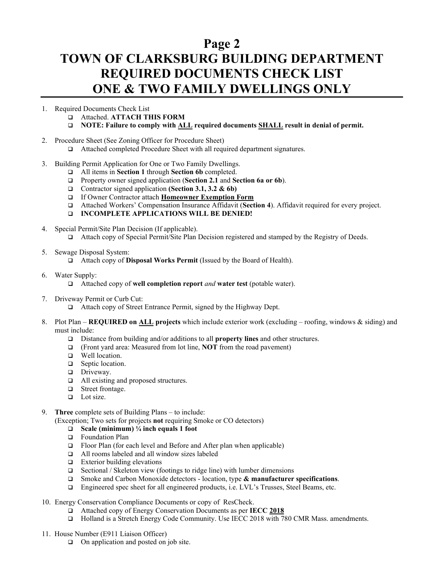# **TOWN OF CLARKSBURG BUILDING DEPARTMENT REQUIRED DOCUMENTS CHECK LIST ONE & TWO FAMILY DWELLINGS ONLY**

- 1. Required Documents Check List
	- Attached. **ATTACH THIS FORM**
	- **NOTE: Failure to comply with ALL required documents SHALL result in denial of permit.**
- 2. Procedure Sheet (See Zoning Officer for Procedure Sheet)
	- Attached completed Procedure Sheet with all required department signatures.
- 3. Building Permit Application for One or Two Family Dwellings.
	- All items in **Section 1** through **Section 6b** completed.
	- Property owner signed application (**Section 2.1** and **Section 6a or 6b**).
	- □ Contractor signed application **(Section 3.1, 3.2 & 6b)**
	- If Owner Contractor attach **Homeowner Exemption Form**
	- Attached Workers' Compensation Insurance Affidavit (**Section 4**). Affidavit required for every project.
	- **INCOMPLETE APPLICATIONS WILL BE DENIED!**
- 4. Special Permit/Site Plan Decision (If applicable).
	- Attach copy of Special Permit/Site Plan Decision registered and stamped by the Registry of Deeds.
- 5. Sewage Disposal System:
	- Attach copy of **Disposal Works Permit** (Issued by the Board of Health).
- 6. Water Supply:
	- Attached copy of **well completion report** *and* **water test** (potable water).
- 7. Driveway Permit or Curb Cut:

□ Attach copy of Street Entrance Permit, signed by the Highway Dept.

- 8. Plot Plan **REQUIRED on ALL projects** which include exterior work (excluding roofing, windows & siding) and must include:
	- Distance from building and/or additions to all **property lines** and other structures.
	- (Front yard area: Measured from lot line, **NOT** from the road pavement)
	- **u** Well location.
	- □ Septic location.
	- **Driveway.**
	- □ All existing and proposed structures.
	- Street frontage.
	- $\Box$  Lot size.
- 9. **Three** complete sets of Building Plans to include:

(Exception; Two sets for projects **not** requiring Smoke or CO detectors)

#### **Scale (minimum) ¼ inch equals 1 foot**

- $\Box$  Foundation Plan
- $\Box$  Floor Plan (for each level and Before and After plan when applicable)
- All rooms labeled and all window sizes labeled
- $\Box$  Exterior building elevations<br> $\Box$  Sectional / Skeleton view (for
- Sectional / Skeleton view (footings to ridge line) with lumber dimensions
- Smoke and Carbon Monoxide detectors location, type **& manufacturer specifications**.
- Engineered spec sheet for all engineered products, i.e. LVL's Trusses, Steel Beams, etc.
- 10. Energy Conservation Compliance Documents or copy of ResCheck.
	- Attached copy of Energy Conservation Documents as per **IECC 2018**
	- Holland is a Stretch Energy Code Community. Use IECC 2018 with 780 CMR Mass. amendments.
- 11. House Number (E911 Liaison Officer)
	- □ On application and posted on job site.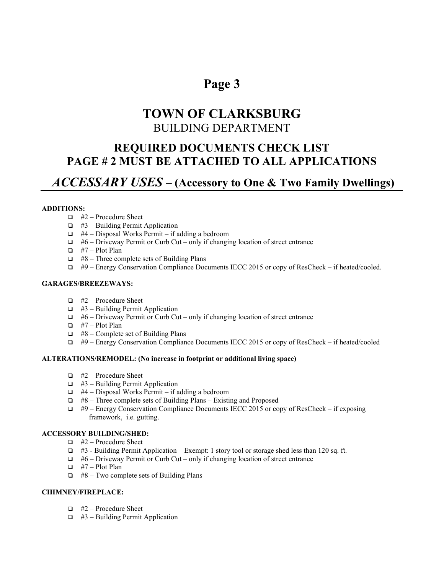# **TOWN OF CLARKSBURG** BUILDING DEPARTMENT

### **REQUIRED DOCUMENTS CHECK LIST PAGE # 2 MUST BE ATTACHED TO ALL APPLICATIONS**

### *ACCESSARY USES* **– (Accessory to One & Two Family Dwellings)**

#### **ADDITIONS:**

- $\Box$  #2 Procedure Sheet
- $\Box$  #3 Building Permit Application
- $\Box$  #4 Disposal Works Permit if adding a bedroom
- $\Box$  #6 Driveway Permit or Curb Cut only if changing location of street entrance
- $\Box$  #7 Plot Plan
- $\Box$  #8 Three complete sets of Building Plans
- #9 Energy Conservation Compliance Documents IECC 2015 or copy of ResCheck if heated/cooled.

#### **GARAGES/BREEZEWAYS:**

- $\Box$  #2 Procedure Sheet
- $\Box$  #3 Building Permit Application
- #6 Driveway Permit or Curb Cut only if changing location of street entrance
- $\Box$  #7 Plot Plan
- $\Box$  #8 Complete set of Building Plans
- $\Box$  #9 Energy Conservation Compliance Documents IECC 2015 or copy of ResCheck if heated/cooled

#### **ALTERATIONS/REMODEL: (No increase in footprint or additional living space)**

- $\Box$  #2 Procedure Sheet
- $\Box$  #3 Building Permit Application
- $\Box$  #4 Disposal Works Permit if adding a bedroom
- $\Box$  #8 Three complete sets of Building Plans Existing and Proposed
- $\Box$  #9 Energy Conservation Compliance Documents IECC 2015 or copy of ResCheck if exposing framework, i.e. gutting.

#### **ACCESSORY BUILDING/SHED:**

- $\Box$  #2 Procedure Sheet
- $\Box$  #3 Building Permit Application Exempt: 1 story tool or storage shed less than 120 sq. ft.
- $\Box$  #6 Driveway Permit or Curb Cut only if changing location of street entrance
- $\Box$  #7 Plot Plan
- $\Box$  #8 Two complete sets of Building Plans

#### **CHIMNEY/FIREPLACE:**

- $\Box$  #2 Procedure Sheet
- $\Box$  #3 Building Permit Application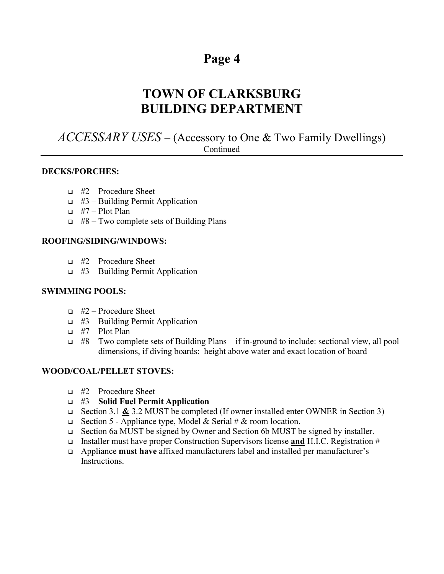# **TOWN OF CLARKSBURG BUILDING DEPARTMENT**

### *ACCESSARY USES* – (Accessory to One & Two Family Dwellings) Continued

#### **DECKS/PORCHES:**

- $\Box$  #2 Procedure Sheet
- $\Box$  #3 Building Permit Application
- $\Box$  #7 Plot Plan
- $\Box$  #8 Two complete sets of Building Plans

#### **ROOFING/SIDING/WINDOWS:**

- $\Box$  #2 Procedure Sheet
- $\Box$  #3 Building Permit Application

#### **SWIMMING POOLS:**

- $\Box$  #2 Procedure Sheet
- $\Box$  #3 Building Permit Application
- $\Box$  #7 Plot Plan
- $\Box$  #8 Two complete sets of Building Plans if in-ground to include: sectional view, all pool dimensions, if diving boards: height above water and exact location of board

#### **WOOD/COAL/PELLET STOVES:**

- $\Box$  #2 Procedure Sheet
- #3 **Solid Fuel Permit Application**
- Section 3.1 **&** 3.2 MUST be completed (If owner installed enter OWNER in Section 3)
- Section 5 Appliance type, Model & Serial # & room location.
- Section 6a MUST be signed by Owner and Section 6b MUST be signed by installer.
- Installer must have proper Construction Supervisors license **and** H.I.C. Registration #
- Appliance **must have** affixed manufacturers label and installed per manufacturer's Instructions.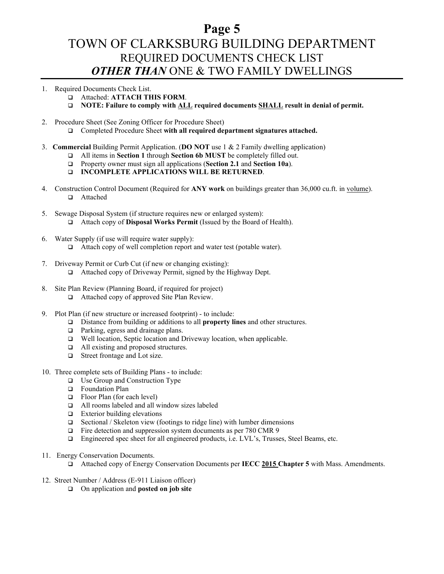### **Page 5** TOWN OF CLARKSBURG BUILDING DEPARTMENT REQUIRED DOCUMENTS CHECK LIST *OTHER THAN* ONE & TWO FAMILY DWELLINGS

#### 1. Required Documents Check List.

- Attached: **ATTACH THIS FORM**.
- **NOTE: Failure to comply with ALL required documents SHALL result in denial of permit.**
- 2. Procedure Sheet (See Zoning Officer for Procedure Sheet)
	- Completed Procedure Sheet **with all required department signatures attached.**
- 3. **Commercial** Building Permit Application. (**DO NOT** use 1 & 2 Family dwelling application)
	- All items in **Section 1** through **Section 6b MUST** be completely filled out.
	- Property owner must sign all applications (**Section 2.1** and **Section 10a**).
	- **INCOMPLETE APPLICATIONS WILL BE RETURNED**.
- 4. Construction Control Document (Required for **ANY work** on buildings greater than 36,000 cu.ft. in volume). □ Attached
- 5. Sewage Disposal System (if structure requires new or enlarged system): Attach copy of **Disposal Works Permit** (Issued by the Board of Health).
- 6. Water Supply (if use will require water supply):
	- □ Attach copy of well completion report and water test (potable water).
- 7. Driveway Permit or Curb Cut (if new or changing existing): □ Attached copy of Driveway Permit, signed by the Highway Dept.
- 8. Site Plan Review (Planning Board, if required for project)
	- □ Attached copy of approved Site Plan Review.
- 9. Plot Plan (if new structure or increased footprint) to include:
	- Distance from building or additions to all **property lines** and other structures.
	- □ Parking, egress and drainage plans.
	- Well location, Septic location and Driveway location, when applicable.
	- □ All existing and proposed structures.
	- Street frontage and Lot size.
- 10. Three complete sets of Building Plans to include:
	- □ Use Group and Construction Type
	- $\Box$  Foundation Plan
	- Floor Plan (for each level)
	- All rooms labeled and all window sizes labeled
	- Exterior building elevations
	- $\Box$  Sectional / Skeleton view (footings to ridge line) with lumber dimensions
	- □ Fire detection and suppression system documents as per 780 CMR 9
	- Engineered spec sheet for all engineered products, i.e. LVL's, Trusses, Steel Beams, etc.
- 11. Energy Conservation Documents.
	- Attached copy of Energy Conservation Documents per **IECC 2015 Chapter 5** with Mass. Amendments.
- 12. Street Number / Address (E-911 Liaison officer)
	- On application and **posted on job site**